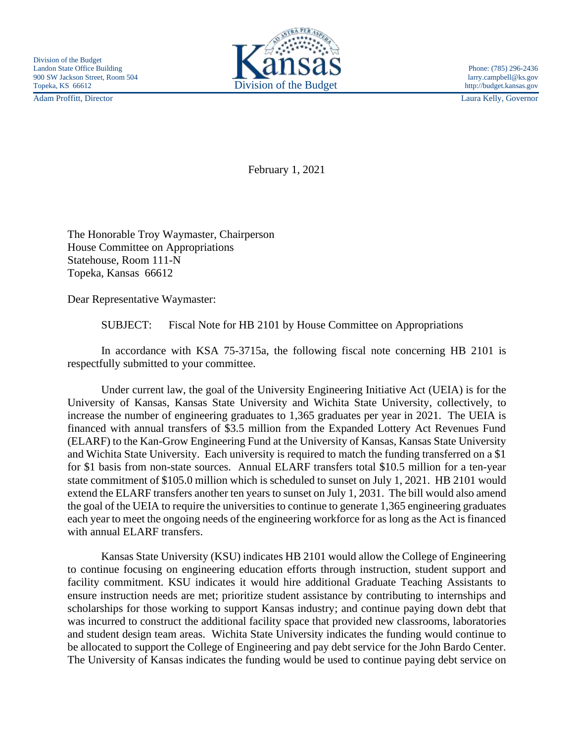

Adam Proffitt, Director Laura Kelly, Governor

February 1, 2021

The Honorable Troy Waymaster, Chairperson House Committee on Appropriations Statehouse, Room 111-N Topeka, Kansas 66612

Dear Representative Waymaster:

SUBJECT: Fiscal Note for HB 2101 by House Committee on Appropriations

In accordance with KSA 75-3715a, the following fiscal note concerning HB 2101 is respectfully submitted to your committee.

Under current law, the goal of the University Engineering Initiative Act (UEIA) is for the University of Kansas, Kansas State University and Wichita State University, collectively, to increase the number of engineering graduates to 1,365 graduates per year in 2021. The UEIA is financed with annual transfers of \$3.5 million from the Expanded Lottery Act Revenues Fund (ELARF) to the Kan-Grow Engineering Fund at the University of Kansas, Kansas State University and Wichita State University. Each university is required to match the funding transferred on a \$1 for \$1 basis from non-state sources. Annual ELARF transfers total \$10.5 million for a ten-year state commitment of \$105.0 million which is scheduled to sunset on July 1, 2021. HB 2101 would extend the ELARF transfers another ten years to sunset on July 1, 2031. The bill would also amend the goal of the UEIA to require the universities to continue to generate 1,365 engineering graduates each year to meet the ongoing needs of the engineering workforce for as long as the Act is financed with annual ELARF transfers.

Kansas State University (KSU) indicates HB 2101 would allow the College of Engineering to continue focusing on engineering education efforts through instruction, student support and facility commitment. KSU indicates it would hire additional Graduate Teaching Assistants to ensure instruction needs are met; prioritize student assistance by contributing to internships and scholarships for those working to support Kansas industry; and continue paying down debt that was incurred to construct the additional facility space that provided new classrooms, laboratories and student design team areas. Wichita State University indicates the funding would continue to be allocated to support the College of Engineering and pay debt service for the John Bardo Center. The University of Kansas indicates the funding would be used to continue paying debt service on